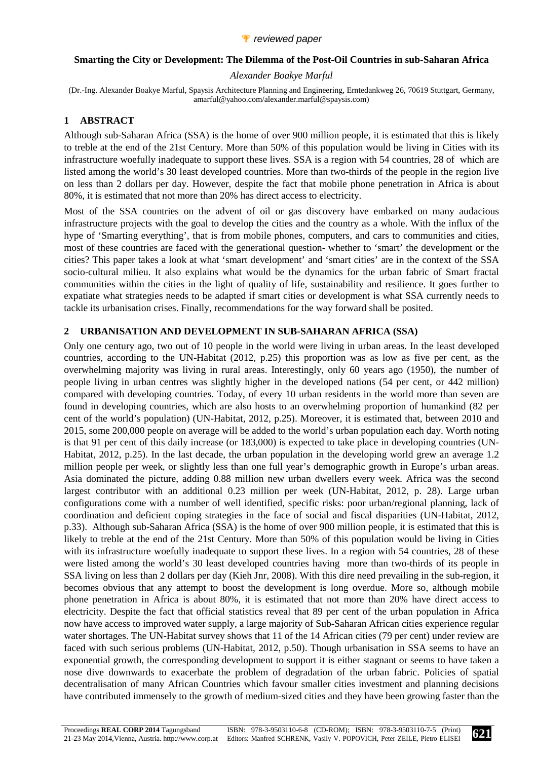#### **Smarting the City or Development: The Dilemma of the Post-Oil Countries in sub-Saharan Africa**

#### *Alexander Boakye Marful*

(Dr.-Ing. Alexander Boakye Marful, Spaysis Architecture Planning and Engineering, Erntedankweg 26, 70619 Stuttgart, Germany, amarful@yahoo.com/alexander.marful@spaysis.com)

### **1 ABSTRACT**

Although sub-Saharan Africa (SSA) is the home of over 900 million people, it is estimated that this is likely to treble at the end of the 21st Century. More than 50% of this population would be living in Cities with its infrastructure woefully inadequate to support these lives. SSA is a region with 54 countries, 28 of which are listed among the world's 30 least developed countries. More than two-thirds of the people in the region live on less than 2 dollars per day. However, despite the fact that mobile phone penetration in Africa is about 80%, it is estimated that not more than 20% has direct access to electricity.

Most of the SSA countries on the advent of oil or gas discovery have embarked on many audacious infrastructure projects with the goal to develop the cities and the country as a whole. With the influx of the hype of 'Smarting everything', that is from mobile phones, computers, and cars to communities and cities, most of these countries are faced with the generational question- whether to 'smart' the development or the cities? This paper takes a look at what 'smart development' and 'smart cities' are in the context of the SSA socio-cultural milieu. It also explains what would be the dynamics for the urban fabric of Smart fractal communities within the cities in the light of quality of life, sustainability and resilience. It goes further to expatiate what strategies needs to be adapted if smart cities or development is what SSA currently needs to tackle its urbanisation crises. Finally, recommendations for the way forward shall be posited.

### **2 URBANISATION AND DEVELOPMENT IN SUB-SAHARAN AFRICA (SSA)**

Only one century ago, two out of 10 people in the world were living in urban areas. In the least developed countries, according to the UN-Habitat (2012, p.25) this proportion was as low as five per cent, as the overwhelming majority was living in rural areas. Interestingly, only 60 years ago (1950), the number of people living in urban centres was slightly higher in the developed nations (54 per cent, or 442 million) compared with developing countries. Today, of every 10 urban residents in the world more than seven are found in developing countries, which are also hosts to an overwhelming proportion of humankind (82 per cent of the world's population) (UN-Habitat, 2012, p.25). Moreover, it is estimated that, between 2010 and 2015, some 200,000 people on average will be added to the world's urban population each day. Worth noting is that 91 per cent of this daily increase (or 183,000) is expected to take place in developing countries (UN-Habitat, 2012, p.25). In the last decade, the urban population in the developing world grew an average 1.2 million people per week, or slightly less than one full year's demographic growth in Europe's urban areas. Asia dominated the picture, adding 0.88 million new urban dwellers every week. Africa was the second largest contributor with an additional 0.23 million per week (UN-Habitat, 2012, p. 28). Large urban configurations come with a number of well identified, specific risks: poor urban/regional planning, lack of coordination and deficient coping strategies in the face of social and fiscal disparities (UN-Habitat, 2012, p.33). Although sub-Saharan Africa (SSA) is the home of over 900 million people, it is estimated that this is likely to treble at the end of the 21st Century. More than 50% of this population would be living in Cities with its infrastructure woefully inadequate to support these lives. In a region with 54 countries, 28 of these were listed among the world's 30 least developed countries having more than two-thirds of its people in SSA living on less than 2 dollars per day (Kieh Jnr, 2008). With this dire need prevailing in the sub-region, it becomes obvious that any attempt to boost the development is long overdue. More so, although mobile phone penetration in Africa is about 80%, it is estimated that not more than 20% have direct access to electricity. Despite the fact that official statistics reveal that 89 per cent of the urban population in Africa now have access to improved water supply, a large majority of Sub-Saharan African cities experience regular water shortages. The UN-Habitat survey shows that 11 of the 14 African cities (79 per cent) under review are faced with such serious problems (UN-Habitat, 2012, p.50). Though urbanisation in SSA seems to have an exponential growth, the corresponding development to support it is either stagnant or seems to have taken a nose dive downwards to exacerbate the problem of degradation of the urban fabric. Policies of spatial decentralisation of many African Countries which favour smaller cities investment and planning decisions have contributed immensely to the growth of medium-sized cities and they have been growing faster than the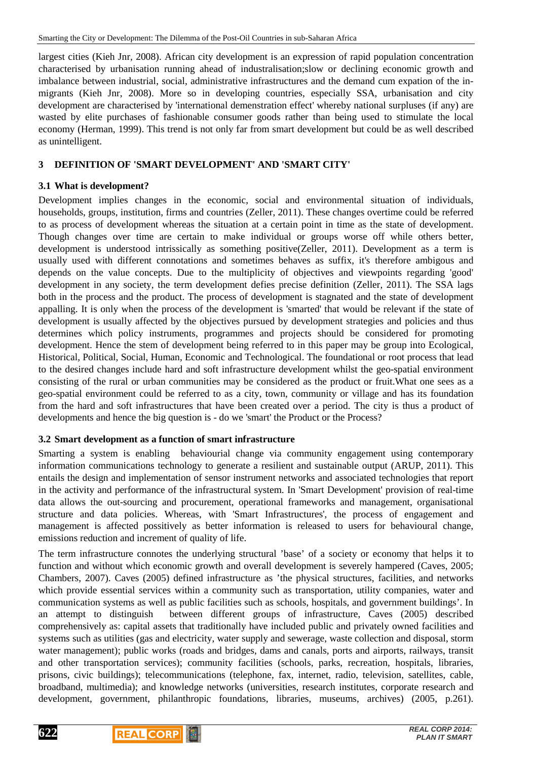largest cities (Kieh Jnr, 2008). African city development is an expression of rapid population concentration characterised by urbanisation running ahead of industralisation;slow or declining economic growth and imbalance between industrial, social, administrative infrastructures and the demand cum expation of the inmigrants (Kieh Jnr, 2008). More so in developing countries, especially SSA, urbanisation and city development are characterised by 'international demenstration effect' whereby national surpluses (if any) are wasted by elite purchases of fashionable consumer goods rather than being used to stimulate the local economy (Herman, 1999). This trend is not only far from smart development but could be as well described as unintelligent.

## **3 DEFINITION OF 'SMART DEVELOPMENT' AND 'SMART CITY'**

## **3.1 What is development?**

Development implies changes in the economic, social and environmental situation of individuals, households, groups, institution, firms and countries (Zeller, 2011). These changes overtime could be referred to as process of development whereas the situation at a certain point in time as the state of development. Though changes over time are certain to make individual or groups worse off while others better, development is understood intrissically as something positive(Zeller, 2011). Development as a term is usually used with different connotations and sometimes behaves as suffix, it's therefore ambigous and depends on the value concepts. Due to the multiplicity of objectives and viewpoints regarding 'good' development in any society, the term development defies precise definition (Zeller, 2011). The SSA lags both in the process and the product. The process of development is stagnated and the state of development appalling. It is only when the process of the development is 'smarted' that would be relevant if the state of development is usually affected by the objectives pursued by development strategies and policies and thus determines which policy instruments, programmes and projects should be considered for promoting development. Hence the stem of development being referred to in this paper may be group into Ecological, Historical, Political, Social, Human, Economic and Technological. The foundational or root process that lead to the desired changes include hard and soft infrastructure development whilst the geo-spatial environment consisting of the rural or urban communities may be considered as the product or fruit.What one sees as a geo-spatial environment could be referred to as a city, town, community or village and has its foundation from the hard and soft infrastructures that have been created over a period. The city is thus a product of developments and hence the big question is - do we 'smart' the Product or the Process?

## **3.2 Smart development as a function of smart infrastructure**

Smarting a system is enabling behaviourial change via community engagement using contemporary information communications technology to generate a resilient and sustainable output (ARUP, 2011). This entails the design and implementation of sensor instrument networks and associated technologies that report in the activity and performance of the infrastructural system. In 'Smart Development' provision of real-time data allows the out-sourcing and procurement, operational frameworks and management, organisational structure and data policies. Whereas, with 'Smart Infrastructures', the process of engagement and management is affected possitively as better information is released to users for behavioural change, emissions reduction and increment of quality of life.

The term infrastructure connotes the underlying structural 'base' of a society or economy that helps it to function and without which economic growth and overall development is severely hampered (Caves, 2005; Chambers, 2007). Caves (2005) defined infrastructure as 'the physical structures, facilities, and networks which provide essential services within a community such as transportation, utility companies, water and communication systems as well as public facilities such as schools, hospitals, and government buildings'. In an attempt to distinguish between different groups of infrastructure, Caves (2005) described comprehensively as: capital assets that traditionally have included public and privately owned facilities and systems such as utilities (gas and electricity, water supply and sewerage, waste collection and disposal, storm water management); public works (roads and bridges, dams and canals, ports and airports, railways, transit and other transportation services); community facilities (schools, parks, recreation, hospitals, libraries, prisons, civic buildings); telecommunications (telephone, fax, internet, radio, television, satellites, cable, broadband, multimedia); and knowledge networks (universities, research institutes, corporate research and development, government, philanthropic foundations, libraries, museums, archives) (2005, p.261).



**622**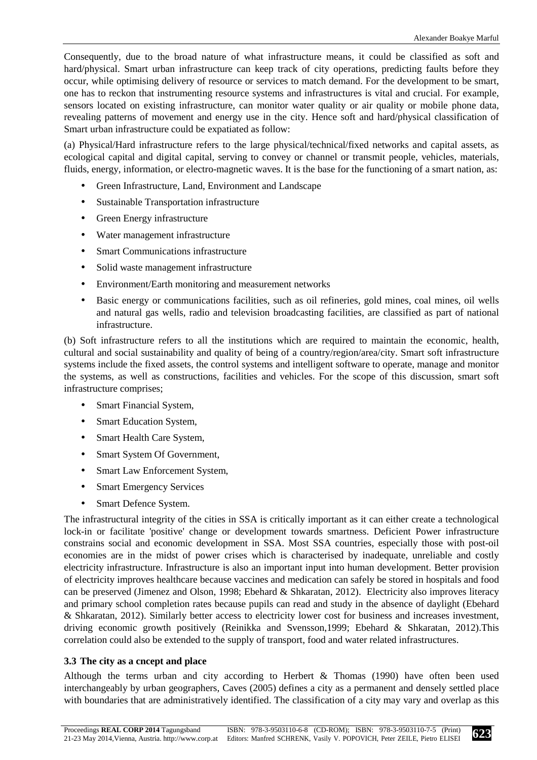Consequently, due to the broad nature of what infrastructure means, it could be classified as soft and hard/physical. Smart urban infrastructure can keep track of city operations, predicting faults before they occur, while optimising delivery of resource or services to match demand. For the development to be smart, one has to reckon that instrumenting resource systems and infrastructures is vital and crucial. For example, sensors located on existing infrastructure, can monitor water quality or air quality or mobile phone data, revealing patterns of movement and energy use in the city. Hence soft and hard/physical classification of Smart urban infrastructure could be expatiated as follow:

(a) Physical/Hard infrastructure refers to the large physical/technical/fixed networks and capital assets, as ecological capital and digital capital, serving to convey or channel or transmit people, vehicles, materials, fluids, energy, information, or electro-magnetic waves. It is the base for the functioning of a smart nation, as:

- Green Infrastructure, Land, Environment and Landscape
- Sustainable Transportation infrastructure
- Green Energy infrastructure
- Water management infrastructure
- Smart Communications infrastructure
- Solid waste management infrastructure
- Environment/Earth monitoring and measurement networks
- Basic energy or communications facilities, such as oil refineries, gold mines, coal mines, oil wells and natural gas wells, radio and television broadcasting facilities, are classified as part of national infrastructure.

(b) Soft infrastructure refers to all the institutions which are required to maintain the economic, health, cultural and social sustainability and quality of being of a country/region/area/city. Smart soft infrastructure systems include the fixed assets, the control systems and intelligent software to operate, manage and monitor the systems, as well as constructions, facilities and vehicles. For the scope of this discussion, smart soft infrastructure comprises;

- Smart Financial System,
- Smart Education System,
- Smart Health Care System,
- Smart System Of Government,
- Smart Law Enforcement System,
- Smart Emergency Services
- Smart Defence System.

The infrastructural integrity of the cities in SSA is critically important as it can either create a technological lock-in or facilitate 'positive' change or development towards smartness. Deficient Power infrastructure constrains social and economic development in SSA. Most SSA countries, especially those with post-oil economies are in the midst of power crises which is characterised by inadequate, unreliable and costly electricity infrastructure. Infrastructure is also an important input into human development. Better provision of electricity improves healthcare because vaccines and medication can safely be stored in hospitals and food can be preserved (Jimenez and Olson, 1998; Ebehard & Shkaratan, 2012). Electricity also improves literacy and primary school completion rates because pupils can read and study in the absence of daylight (Ebehard & Shkaratan, 2012). Similarly better access to electricity lower cost for business and increases investment, driving economic growth positively (Reinikka and Svensson,1999; Ebehard & Shkaratan, 2012).This correlation could also be extended to the supply of transport, food and water related infrastructures.

## **3.3 The city as a cncept and place**

Although the terms urban and city according to Herbert & Thomas (1990) have often been used interchangeably by urban geographers, Caves (2005) defines a city as a permanent and densely settled place with boundaries that are administratively identified. The classification of a city may vary and overlap as this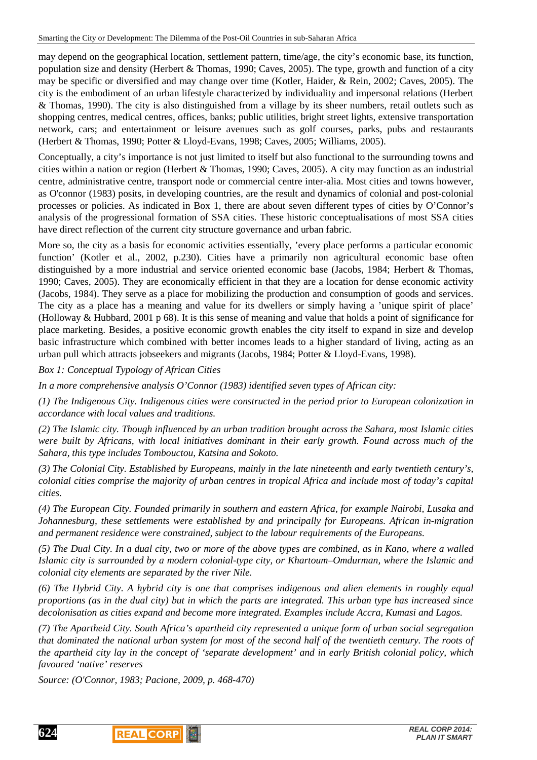may depend on the geographical location, settlement pattern, time/age, the city's economic base, its function, population size and density (Herbert & Thomas, 1990; Caves, 2005). The type, growth and function of a city may be specific or diversified and may change over time (Kotler, Haider, & Rein, 2002; Caves, 2005). The city is the embodiment of an urban lifestyle characterized by individuality and impersonal relations (Herbert & Thomas, 1990). The city is also distinguished from a village by its sheer numbers, retail outlets such as shopping centres, medical centres, offices, banks; public utilities, bright street lights, extensive transportation network, cars; and entertainment or leisure avenues such as golf courses, parks, pubs and restaurants (Herbert & Thomas, 1990; Potter & Lloyd-Evans, 1998; Caves, 2005; Williams, 2005).

Conceptually, a city's importance is not just limited to itself but also functional to the surrounding towns and cities within a nation or region (Herbert & Thomas, 1990; Caves, 2005). A city may function as an industrial centre, administrative centre, transport node or commercial centre inter-alia. Most cities and towns however, as O'connor (1983) posits, in developing countries, are the result and dynamics of colonial and post-colonial processes or policies. As indicated in Box 1, there are about seven different types of cities by O'Connor's analysis of the progressional formation of SSA cities. These historic conceptualisations of most SSA cities have direct reflection of the current city structure governance and urban fabric.

More so, the city as a basis for economic activities essentially, 'every place performs a particular economic function' (Kotler et al., 2002, p.230). Cities have a primarily non agricultural economic base often distinguished by a more industrial and service oriented economic base (Jacobs, 1984; Herbert & Thomas, 1990; Caves, 2005). They are economically efficient in that they are a location for dense economic activity (Jacobs, 1984). They serve as a place for mobilizing the production and consumption of goods and services. The city as a place has a meaning and value for its dwellers or simply having a 'unique spirit of place' (Holloway & Hubbard, 2001 p 68). It is this sense of meaning and value that holds a point of significance for place marketing. Besides, a positive economic growth enables the city itself to expand in size and develop basic infrastructure which combined with better incomes leads to a higher standard of living, acting as an urban pull which attracts jobseekers and migrants (Jacobs, 1984; Potter & Lloyd-Evans, 1998).

*Box 1: Conceptual Typology of African Cities* 

*In a more comprehensive analysis O'Connor (1983) identified seven types of African city:* 

*(1) The Indigenous City. Indigenous cities were constructed in the period prior to European colonization in accordance with local values and traditions.* 

*(2) The Islamic city. Though influenced by an urban tradition brought across the Sahara, most Islamic cities were built by Africans, with local initiatives dominant in their early growth. Found across much of the Sahara, this type includes Tombouctou, Katsina and Sokoto.* 

*(3) The Colonial City. Established by Europeans, mainly in the late nineteenth and early twentieth century's, colonial cities comprise the majority of urban centres in tropical Africa and include most of today's capital cities.* 

*(4) The European City. Founded primarily in southern and eastern Africa, for example Nairobi, Lusaka and Johannesburg, these settlements were established by and principally for Europeans. African in-migration and permanent residence were constrained, subject to the labour requirements of the Europeans.* 

*(5) The Dual City. In a dual city, two or more of the above types are combined, as in Kano, where a walled Islamic city is surrounded by a modern colonial-type city, or Khartoum–Omdurman, where the Islamic and colonial city elements are separated by the river Nile.* 

*(6) The Hybrid City. A hybrid city is one that comprises indigenous and alien elements in roughly equal proportions (as in the dual city) but in which the parts are integrated. This urban type has increased since decolonisation as cities expand and become more integrated. Examples include Accra, Kumasi and Lagos.* 

*(7) The Apartheid City. South Africa's apartheid city represented a unique form of urban social segregation that dominated the national urban system for most of the second half of the twentieth century. The roots of the apartheid city lay in the concept of 'separate development' and in early British colonial policy, which favoured 'native' reserves* 

*Source: (O'Connor, 1983; Pacione, 2009, p. 468-470)*



**624**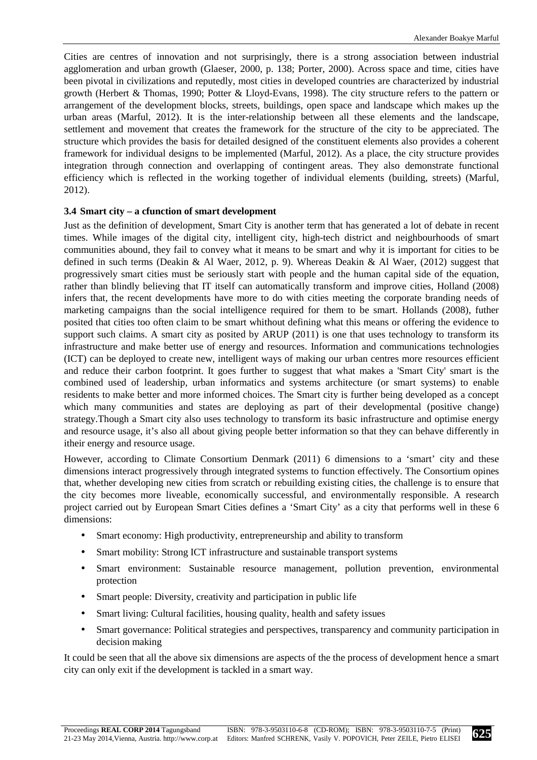Cities are centres of innovation and not surprisingly, there is a strong association between industrial agglomeration and urban growth (Glaeser, 2000, p. 138; Porter, 2000). Across space and time, cities have been pivotal in civilizations and reputedly, most cities in developed countries are characterized by industrial growth (Herbert & Thomas, 1990; Potter & Lloyd-Evans, 1998). The city structure refers to the pattern or arrangement of the development blocks, streets, buildings, open space and landscape which makes up the urban areas (Marful, 2012). It is the inter-relationship between all these elements and the landscape, settlement and movement that creates the framework for the structure of the city to be appreciated. The structure which provides the basis for detailed designed of the constituent elements also provides a coherent framework for individual designs to be implemented (Marful, 2012). As a place, the city structure provides integration through connection and overlapping of contingent areas. They also demonstrate functional efficiency which is reflected in the working together of individual elements (building, streets) (Marful, 2012).

### **3.4 Smart city – a cfunction of smart development**

Just as the definition of development, Smart City is another term that has generated a lot of debate in recent times. While images of the digital city, intelligent city, high-tech district and neighbourhoods of smart communities abound, they fail to convey what it means to be smart and why it is important for cities to be defined in such terms (Deakin & Al Waer, 2012, p. 9). Whereas Deakin & Al Waer, (2012) suggest that progressively smart cities must be seriously start with people and the human capital side of the equation, rather than blindly believing that IT itself can automatically transform and improve cities, Holland (2008) infers that, the recent developments have more to do with cities meeting the corporate branding needs of marketing campaigns than the social intelligence required for them to be smart. Hollands (2008), futher posited that cities too often claim to be smart whithout defining what this means or offering the evidence to support such claims. A smart city as posited by ARUP (2011) is one that uses technology to transform its infrastructure and make better use of energy and resources. Information and communications technologies (ICT) can be deployed to create new, intelligent ways of making our urban centres more resources efficient and reduce their carbon footprint. It goes further to suggest that what makes a 'Smart City' smart is the combined used of leadership, urban informatics and systems architecture (or smart systems) to enable residents to make better and more informed choices. The Smart city is further being developed as a concept which many communities and states are deploying as part of their developmental (positive change) strategy.Though a Smart city also uses technology to transform its basic infrastructure and optimise energy and resource usage, it's also all about giving people better information so that they can behave differently in itheir energy and resource usage.

However, according to Climate Consortium Denmark (2011) 6 dimensions to a 'smart' city and these dimensions interact progressively through integrated systems to function effectively. The Consortium opines that, whether developing new cities from scratch or rebuilding existing cities, the challenge is to ensure that the city becomes more liveable, economically successful, and environmentally responsible. A research project carried out by European Smart Cities defines a 'Smart City' as a city that performs well in these 6 dimensions:

- Smart economy: High productivity, entrepreneurship and ability to transform
- Smart mobility: Strong ICT infrastructure and sustainable transport systems
- Smart environment: Sustainable resource management, pollution prevention, environmental protection
- Smart people: Diversity, creativity and participation in public life
- Smart living: Cultural facilities, housing quality, health and safety issues
- Smart governance: Political strategies and perspectives, transparency and community participation in decision making

It could be seen that all the above six dimensions are aspects of the the process of development hence a smart city can only exit if the development is tackled in a smart way.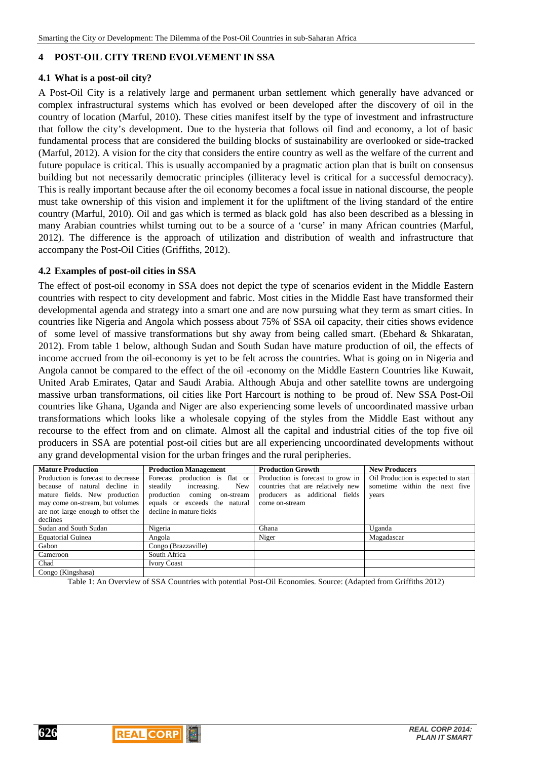### **4 POST-OIL CITY TREND EVOLVEMENT IN SSA**

#### **4.1 What is a post-oil city?**

A Post-Oil City is a relatively large and permanent urban settlement which generally have advanced or complex infrastructural systems which has evolved or been developed after the discovery of oil in the country of location (Marful, 2010). These cities manifest itself by the type of investment and infrastructure that follow the city's development. Due to the hysteria that follows oil find and economy, a lot of basic fundamental process that are considered the building blocks of sustainability are overlooked or side-tracked (Marful, 2012). A vision for the city that considers the entire country as well as the welfare of the current and future populace is critical. This is usually accompanied by a pragmatic action plan that is built on consensus building but not necessarily democratic principles (illiteracy level is critical for a successful democracy). This is really important because after the oil economy becomes a focal issue in national discourse, the people must take ownership of this vision and implement it for the upliftment of the living standard of the entire country (Marful, 2010). Oil and gas which is termed as black gold has also been described as a blessing in many Arabian countries whilst turning out to be a source of a 'curse' in many African countries (Marful, 2012). The difference is the approach of utilization and distribution of wealth and infrastructure that accompany the Post-Oil Cities (Griffiths, 2012).

#### **4.2 Examples of post-oil cities in SSA**

The effect of post-oil economy in SSA does not depict the type of scenarios evident in the Middle Eastern countries with respect to city development and fabric. Most cities in the Middle East have transformed their developmental agenda and strategy into a smart one and are now pursuing what they term as smart cities. In countries like Nigeria and Angola which possess about 75% of SSA oil capacity, their cities shows evidence of some level of massive transformations but shy away from being called smart. (Ebehard & Shkaratan, 2012). From table 1 below, although Sudan and South Sudan have mature production of oil, the effects of income accrued from the oil-economy is yet to be felt across the countries. What is going on in Nigeria and Angola cannot be compared to the effect of the oil -economy on the Middle Eastern Countries like Kuwait, United Arab Emirates, Qatar and Saudi Arabia. Although Abuja and other satellite towns are undergoing massive urban transformations, oil cities like Port Harcourt is nothing to be proud of. New SSA Post-Oil countries like Ghana, Uganda and Niger are also experiencing some levels of uncoordinated massive urban transformations which looks like a wholesale copying of the styles from the Middle East without any recourse to the effect from and on climate. Almost all the capital and industrial cities of the top five oil producers in SSA are potential post-oil cities but are all experiencing uncoordinated developments without any grand developmental vision for the urban fringes and the rural peripheries.

| <b>Mature Production</b>           | <b>Production Management</b>   | <b>Production Growth</b>          | <b>New Producers</b>                |
|------------------------------------|--------------------------------|-----------------------------------|-------------------------------------|
| Production is forecast to decrease | Forecast production is flat or | Production is forecast to grow in | Oil Production is expected to start |
| because of natural decline in      | steadily increasing. New       | countries that are relatively new | sometime within the next five       |
| mature fields. New production      | production coming on-stream    | producers as additional fields    | years                               |
| may come on-stream, but volumes    | equals or exceeds the natural  | come on-stream                    |                                     |
| are not large enough to offset the | decline in mature fields       |                                   |                                     |
| declines                           |                                |                                   |                                     |
| Sudan and South Sudan              | Nigeria                        | Ghana                             | Uganda                              |
| <b>Equatorial Guinea</b>           | Angola                         | Niger                             | Magadascar                          |
| Gabon                              | Congo (Brazzaville)            |                                   |                                     |
| Cameroon                           | South Africa                   |                                   |                                     |
| Chad                               | <b>Ivory Coast</b>             |                                   |                                     |
| Congo (Kingshasa)                  |                                |                                   |                                     |

Table 1: An Overview of SSA Countries with potential Post-Oil Economies. Source: (Adapted from Griffiths 2012)



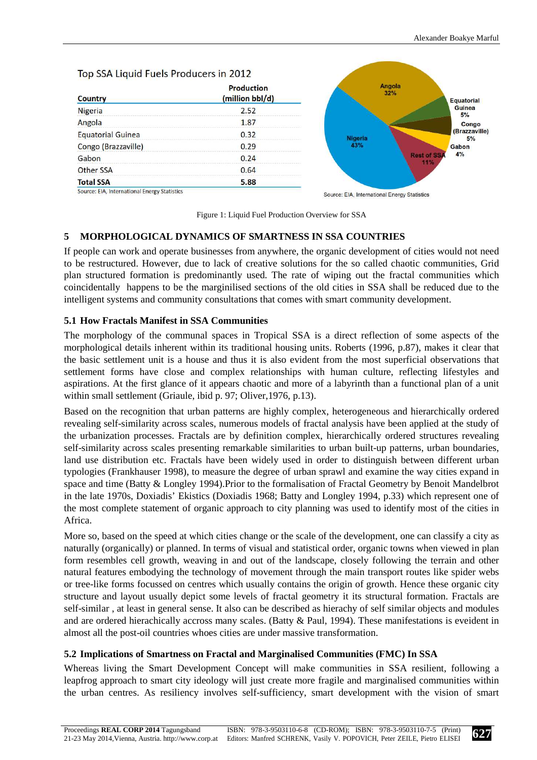# Top SSA Liquid Fuels Producers in 2012

| <b>Country</b>                               | <b>Production</b><br>(million bbl/d) |  |
|----------------------------------------------|--------------------------------------|--|
| <b>Nigeria</b>                               | 2.52                                 |  |
| Angola                                       | 1.87                                 |  |
| <b>Equatorial Guinea</b>                     | 0.32                                 |  |
| Congo (Brazzaville)                          | 0.29                                 |  |
| Gabon                                        | 0.24                                 |  |
| Other SSA                                    | 0.64                                 |  |
| <b>Total SSA</b>                             | 5.88                                 |  |
| Source: EIA, International Energy Statistics |                                      |  |



Figure 1: Liquid Fuel Production Overview for SSA

# **5 MORPHOLOGICAL DYNAMICS OF SMARTNESS IN SSA COUNTRIES**

If people can work and operate businesses from anywhere, the organic development of cities would not need to be restructured. However, due to lack of creative solutions for the so called chaotic communities, Grid plan structured formation is predominantly used. The rate of wiping out the fractal communities which coincidentally happens to be the marginilised sections of the old cities in SSA shall be reduced due to the intelligent systems and community consultations that comes with smart community development.

## **5.1 How Fractals Manifest in SSA Communities**

The morphology of the communal spaces in Tropical SSA is a direct reflection of some aspects of the morphological details inherent within its traditional housing units. Roberts (1996, p.87), makes it clear that the basic settlement unit is a house and thus it is also evident from the most superficial observations that settlement forms have close and complex relationships with human culture, reflecting lifestyles and aspirations. At the first glance of it appears chaotic and more of a labyrinth than a functional plan of a unit within small settlement (Griaule, ibid p. 97; Oliver,1976, p.13).

Based on the recognition that urban patterns are highly complex, heterogeneous and hierarchically ordered revealing self-similarity across scales, numerous models of fractal analysis have been applied at the study of the urbanization processes. Fractals are by definition complex, hierarchically ordered structures revealing self-similarity across scales presenting remarkable similarities to urban built-up patterns, urban boundaries, land use distribution etc. Fractals have been widely used in order to distinguish between different urban typologies (Frankhauser 1998), to measure the degree of urban sprawl and examine the way cities expand in space and time (Batty & Longley 1994).Prior to the formalisation of Fractal Geometry by Benoit Mandelbrot in the late 1970s, Doxiadis' Ekistics (Doxiadis 1968; Batty and Longley 1994, p.33) which represent one of the most complete statement of organic approach to city planning was used to identify most of the cities in Africa.

More so, based on the speed at which cities change or the scale of the development, one can classify a city as naturally (organically) or planned. In terms of visual and statistical order, organic towns when viewed in plan form resembles cell growth, weaving in and out of the landscape, closely following the terrain and other natural features embodying the technology of movement through the main transport routes like spider webs or tree-like forms focussed on centres which usually contains the origin of growth. Hence these organic city structure and layout usually depict some levels of fractal geometry it its structural formation. Fractals are self-similar , at least in general sense. It also can be described as hierachy of self similar objects and modules and are ordered hierachically accross many scales. (Batty & Paul, 1994). These manifestations is eveident in almost all the post-oil countries whoes cities are under massive transformation.

## **5.2 Implications of Smartness on Fractal and Marginalised Communities (FMC) In SSA**

Whereas living the Smart Development Concept will make communities in SSA resilient, following a leapfrog approach to smart city ideology will just create more fragile and marginalised communities within the urban centres. As resiliency involves self-sufficiency, smart development with the vision of smart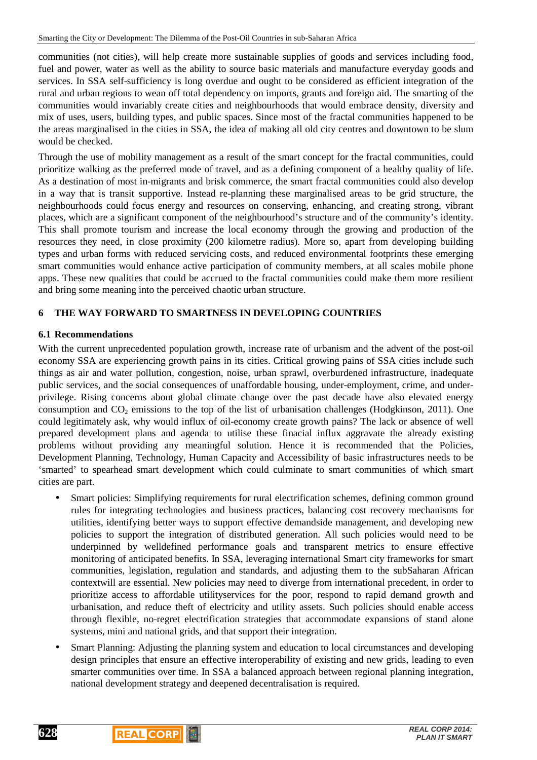communities (not cities), will help create more sustainable supplies of goods and services including food, fuel and power, water as well as the ability to source basic materials and manufacture everyday goods and services. In SSA self-sufficiency is long overdue and ought to be considered as efficient integration of the rural and urban regions to wean off total dependency on imports, grants and foreign aid. The smarting of the communities would invariably create cities and neighbourhoods that would embrace density, diversity and mix of uses, users, building types, and public spaces. Since most of the fractal communities happened to be the areas marginalised in the cities in SSA, the idea of making all old city centres and downtown to be slum would be checked.

Through the use of mobility management as a result of the smart concept for the fractal communities, could prioritize walking as the preferred mode of travel, and as a defining component of a healthy quality of life. As a destination of most in-migrants and brisk commerce, the smart fractal communities could also develop in a way that is transit supportive. Instead re-planning these marginalised areas to be grid structure, the neighbourhoods could focus energy and resources on conserving, enhancing, and creating strong, vibrant places, which are a significant component of the neighbourhood's structure and of the community's identity. This shall promote tourism and increase the local economy through the growing and production of the resources they need, in close proximity (200 kilometre radius). More so, apart from developing building types and urban forms with reduced servicing costs, and reduced environmental footprints these emerging smart communities would enhance active participation of community members, at all scales mobile phone apps. These new qualities that could be accrued to the fractal communities could make them more resilient and bring some meaning into the perceived chaotic urban structure.

# **6 THE WAY FORWARD TO SMARTNESS IN DEVELOPING COUNTRIES**

## **6.1 Recommendations**

With the current unprecedented population growth, increase rate of urbanism and the advent of the post-oil economy SSA are experiencing growth pains in its cities. Critical growing pains of SSA cities include such things as air and water pollution, congestion, noise, urban sprawl, overburdened infrastructure, inadequate public services, and the social consequences of unaffordable housing, under-employment, crime, and underprivilege. Rising concerns about global climate change over the past decade have also elevated energy consumption and  $CO_2$  emissions to the top of the list of urbanisation challenges (Hodgkinson, 2011). One could legitimately ask, why would influx of oil-economy create growth pains? The lack or absence of well prepared development plans and agenda to utilise these finacial influx aggravate the already existing problems without providing any meaningful solution. Hence it is recommended that the Policies, Development Planning, Technology, Human Capacity and Accessibility of basic infrastructures needs to be 'smarted' to spearhead smart development which could culminate to smart communities of which smart cities are part.

- Smart policies: Simplifying requirements for rural electrification schemes, defining common ground rules for integrating technologies and business practices, balancing cost recovery mechanisms for utilities, identifying better ways to support effective demandside management, and developing new policies to support the integration of distributed generation. All such policies would need to be underpinned by welldefined performance goals and transparent metrics to ensure effective monitoring of anticipated benefits. In SSA, leveraging international Smart city frameworks for smart communities, legislation, regulation and standards, and adjusting them to the subSaharan African contextwill are essential. New policies may need to diverge from international precedent, in order to prioritize access to affordable utilityservices for the poor, respond to rapid demand growth and urbanisation, and reduce theft of electricity and utility assets. Such policies should enable access through flexible, no-regret electrification strategies that accommodate expansions of stand alone systems, mini and national grids, and that support their integration.
- Smart Planning: Adjusting the planning system and education to local circumstances and developing design principles that ensure an effective interoperability of existing and new grids, leading to even smarter communities over time. In SSA a balanced approach between regional planning integration, national development strategy and deepened decentralisation is required.



**628**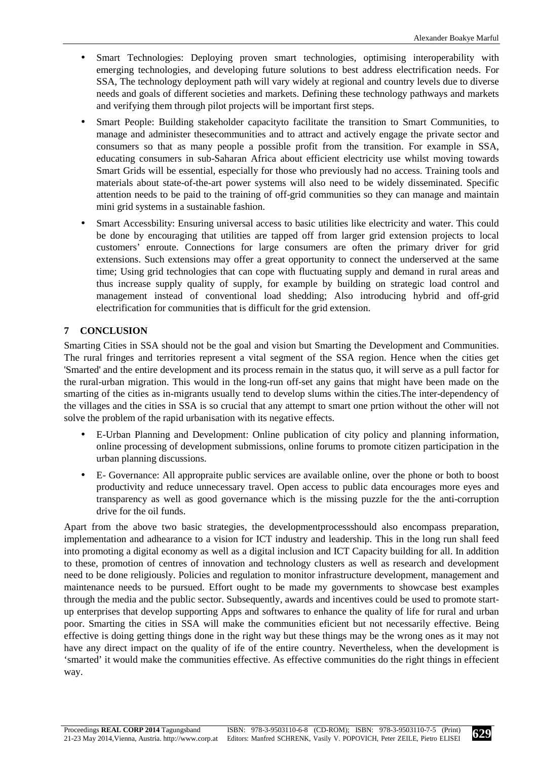- Smart Technologies: Deploying proven smart technologies, optimising interoperability with emerging technologies, and developing future solutions to best address electrification needs. For SSA, The technology deployment path will vary widely at regional and country levels due to diverse needs and goals of different societies and markets. Defining these technology pathways and markets and verifying them through pilot projects will be important first steps.
- Smart People: Building stakeholder capacityto facilitate the transition to Smart Communities, to manage and administer thesecommunities and to attract and actively engage the private sector and consumers so that as many people a possible profit from the transition. For example in SSA, educating consumers in sub-Saharan Africa about efficient electricity use whilst moving towards Smart Grids will be essential, especially for those who previously had no access. Training tools and materials about state-of-the-art power systems will also need to be widely disseminated. Specific attention needs to be paid to the training of off-grid communities so they can manage and maintain mini grid systems in a sustainable fashion.
- Smart Accessbility: Ensuring universal access to basic utilities like electricity and water. This could be done by encouraging that utilities are tapped off from larger grid extension projects to local customers' enroute. Connections for large consumers are often the primary driver for grid extensions. Such extensions may offer a great opportunity to connect the underserved at the same time; Using grid technologies that can cope with fluctuating supply and demand in rural areas and thus increase supply quality of supply, for example by building on strategic load control and management instead of conventional load shedding; Also introducing hybrid and off-grid electrification for communities that is difficult for the grid extension.

# **7 CONCLUSION**

Smarting Cities in SSA should not be the goal and vision but Smarting the Development and Communities. The rural fringes and territories represent a vital segment of the SSA region. Hence when the cities get 'Smarted' and the entire development and its process remain in the status quo, it will serve as a pull factor for the rural-urban migration. This would in the long-run off-set any gains that might have been made on the smarting of the cities as in-migrants usually tend to develop slums within the cities.The inter-dependency of the villages and the cities in SSA is so crucial that any attempt to smart one prtion without the other will not solve the problem of the rapid urbanisation with its negative effects.

- E-Urban Planning and Development: Online publication of city policy and planning information, online processing of development submissions, online forums to promote citizen participation in the urban planning discussions.
- E- Governance: All appropraite public services are available online, over the phone or both to boost productivity and reduce unnecessary travel. Open access to public data encourages more eyes and transparency as well as good governance which is the missing puzzle for the the anti-corruption drive for the oil funds.

Apart from the above two basic strategies, the developmentprocessshould also encompass preparation, implementation and adhearance to a vision for ICT industry and leadership. This in the long run shall feed into promoting a digital economy as well as a digital inclusion and ICT Capacity building for all. In addition to these, promotion of centres of innovation and technology clusters as well as research and development need to be done religiously. Policies and regulation to monitor infrastructure development, management and maintenance needs to be pursued. Effort ought to be made my governments to showcase best examples through the media and the public sector. Subsequently, awards and incentives could be used to promote startup enterprises that develop supporting Apps and softwares to enhance the quality of life for rural and urban poor. Smarting the cities in SSA will make the communities eficient but not necessarily effective. Being effective is doing getting things done in the right way but these things may be the wrong ones as it may not have any direct impact on the quality of ife of the entire country. Nevertheless, when the development is 'smarted' it would make the communities effective. As effective communities do the right things in effecient way.